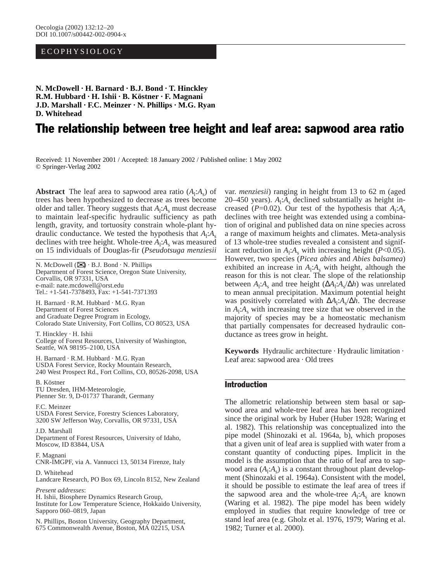# ECOPHYSIOLOGY

**N. McDowell · H. Barnard · B.J. Bond · T. Hinckley R.M. Hubbard · H. Ishii · B. Köstner · F. Magnani J.D. Marshall · F.C. Meinzer · N. Phillips · M.G. Ryan D. Whitehead**

# The relationship between tree height and leaf area: sapwood area ratio

Received: 11 November 2001 / Accepted: 18 January 2002 / Published online: 1 May 2002 © Springer-Verlag 2002

**Abstract** The leaf area to sapwood area ratio  $(A_1: A_s)$  of trees has been hypothesized to decrease as trees become older and taller. Theory suggests that  $A_1$ : $A_s$  must decrease to maintain leaf-specific hydraulic sufficiency as path length, gravity, and tortuosity constrain whole-plant hydraulic conductance. We tested the hypothesis that  $A_1$ : $A_s$ declines with tree height. Whole-tree  $A_1$ : $A_s$  was measured on 15 individuals of Douglas-fir (*Pseudotsuga menziesii*

N. McDowell  $(\mathbb{Z}) \cdot B.J.$  Bond  $\cdot N.$  Phillips Department of Forest Science, Oregon State University, Corvallis, OR 97331, USA e-mail: nate.mcdowell@orst.edu Tel.: +1-541-7378493, Fax: +1-541-7371393

H. Barnard · R.M. Hubbard · M.G. Ryan Department of Forest Sciences and Graduate Degree Program in Ecology, Colorado State University, Fort Collins, CO 80523, USA

T. Hinckley · H. Ishii College of Forest Resources, University of Washington, Seattle, WA 98195–2100, USA

H. Barnard · R.M. Hubbard · M.G. Ryan USDA Forest Service, Rocky Mountain Research, 240 West Prospect Rd., Fort Collins, CO, 80526-2098, USA

B. Köstner TU Dresden, IHM-Meteorologie, Pienner Str. 9, D-01737 Tharandt, Germany

F.C. Meinzer USDA Forest Service, Forestry Sciences Laboratory, 3200 SW Jefferson Way, Corvallis, OR 97331, USA

J.D. Marshall Department of Forest Resources, University of Idaho, Moscow, ID 83844, USA

F. Magnani CNR-IMGPF, via A. Vannucci 13, 50134 Firenze, Italy

D. Whitehead Landcare Research, PO Box 69, Lincoln 8152, New Zealand

*Present addresses*: H. Ishii, Biosphere Dynamics Research Group, Institute for Low Temperature Science, Hokkaido University, Sapporo 060–0819, Japan

N. Phillips, Boston University, Geography Department, 675 Commonwealth Avenue, Boston, MA 02215, USA var. *menziesii*) ranging in height from 13 to 62 m (aged 20–450 years).  $A_1$ : $A_s$  declined substantially as height increased ( $P=0.02$ ). Our test of the hypothesis that  $A_1: A_s$ declines with tree height was extended using a combination of original and published data on nine species across a range of maximum heights and climates. Meta-analysis of 13 whole-tree studies revealed a consistent and significant reduction in  $A_1$ : $A_s$  with increasing height (*P*<0.05). However, two species (*Picea abies* and *Abies balsamea*) exhibited an increase in  $A_1$ : $A_s$  with height, although the reason for this is not clear. The slope of the relationship between  $A_1$ : $A_s$  and tree height ( $\Delta A_1$ : $A_s/\Delta h$ ) was unrelated to mean annual precipitation. Maximum potential height was positively correlated with  $ΔA₁: A₃/Δh$ . The decrease in  $A_1$ : $A_s$  with increasing tree size that we observed in the majority of species may be a homeostatic mechanism that partially compensates for decreased hydraulic conductance as trees grow in height.

**Keywords** Hydraulic architecture · Hydraulic limitation · Leaf area: sapwood area · Old trees

# Introduction

The allometric relationship between stem basal or sapwood area and whole-tree leaf area has been recognized since the original work by Huber (Huber 1928; Waring et al. 1982). This relationship was conceptualized into the pipe model (Shinozaki et al. 1964a, b), which proposes that a given unit of leaf area is supplied with water from a constant quantity of conducting pipes. Implicit in the model is the assumption that the ratio of leaf area to sapwood area  $(A_1: A_s)$  is a constant throughout plant development (Shinozaki et al. 1964a). Consistent with the model, it should be possible to estimate the leaf area of trees if the sapwood area and the whole-tree  $A_1$ : $A_s$  are known (Waring et al. 1982). The pipe model has been widely employed in studies that require knowledge of tree or stand leaf area (e.g. Gholz et al. 1976, 1979; Waring et al. 1982; Turner et al. 2000).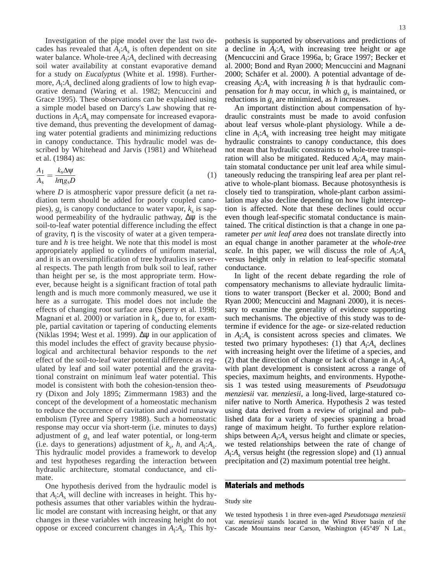Investigation of the pipe model over the last two decades has revealed that  $A_1$ : $A_s$  is often dependent on site water balance. Whole-tree  $A_1$ : $A_s$  declined with decreasing soil water availability at constant evaporative demand for a study on *Eucalyptus* (White et al. 1998). Furthermore,  $A_1$ : $A_s$  declined along gradients of low to high evaporative demand (Waring et al. 1982; Mencuccini and Grace 1995). These observations can be explained using a simple model based on Darcy's Law showing that reductions in  $A_1$ : $A_s$  may compensate for increased evaporative demand, thus preventing the development of damaging water potential gradients and minimizing reductions in canopy conductance. This hydraulic model was described by Whitehead and Jarvis (1981) and Whitehead et al. (1984) as:

$$
\frac{A_1}{A_s} = \frac{k_s \Delta \psi}{h \eta g_s D} \tag{1}
$$

where *D* is atmospheric vapor pressure deficit (a net radiation term should be added for poorly coupled canopies),  $g_s$  is canopy conductance to water vapor,  $k_s$  is sapwood permeability of the hydraulic pathway,  $\Delta \psi$  is the soil-to-leaf water potential difference including the effect of gravity, η is the viscosity of water at a given temperature and *h* is tree height. We note that this model is most appropriately applied to cylinders of uniform material, and it is an oversimplification of tree hydraulics in several respects. The path length from bulk soil to leaf, rather than height per se, is the most appropriate term. However, because height is a significant fraction of total path length and is much more commonly measured, we use it here as a surrogate. This model does not include the effects of changing root surface area (Sperry et al. 1998; Magnani et al. 2000) or variation in  $k_s$ , due to, for example, partial cavitation or tapering of conducting elements (Niklas 1994; West et al. 1999). ∆ψ in our application of this model includes the effect of gravity because physiological and architectural behavior responds to the *net*  effect of the soil-to-leaf water potential difference as regulated by leaf and soil water potential and the gravitational constraint on minimum leaf water potential. This model is consistent with both the cohesion-tension theory (Dixon and Joly 1895; Zimmermann 1983) and the concept of the development of a homeostatic mechanism to reduce the occurrence of cavitation and avoid runaway embolism (Tyree and Sperry 1988). Such a homeostatic response may occur via short-term (i.e. minutes to days) adjustment of  $g_s$  and leaf water potential, or long-term (i.e. days to generations) adjustment of  $k_s$ ,  $h$ , and  $A_1$ : $A_s$ . This hydraulic model provides a framework to develop and test hypotheses regarding the interaction between hydraulic architecture, stomatal conductance, and climate.

One hypothesis derived from the hydraulic model is that  $A_1$ : $A_s$  will decline with increases in height. This hypothesis assumes that other variables within the hydraulic model are constant with increasing height, or that any changes in these variables with increasing height do not oppose or exceed concurrent changes in  $A_1$ : $A_s$ . This hy-

pothesis is supported by observations and predictions of a decline in  $A_1: A_s$  with increasing tree height or age (Mencuccini and Grace 1996a, b; Grace 1997; Becker et al. 2000; Bond and Ryan 2000; Mencuccini and Magnani 2000; Schäfer et al. 2000). A potential advantage of decreasing  $A_1$ : $A_s$  with increasing *h* is that hydraulic compensation for  $h$  may occur, in which  $g_s$  is maintained, or reductions in  $g_s$  are minimized, as *h* increases.

An important distinction about compensation of hydraulic constraints must be made to avoid confusion about leaf versus whole-plant physiology. While a decline in  $A_1$ : $A_s$  with increasing tree height may mitigate hydraulic constraints to canopy conductance, this does not mean that hydraulic constraints to whole-tree transpiration will also be mitigated. Reduced  $A_1$ :  $A_s$  may maintain stomatal conductance per unit leaf area while simultaneously reducing the transpiring leaf area per plant relative to whole-plant biomass. Because photosynthesis is closely tied to transpiration, whole-plant carbon assimilation may also decline depending on how light interception is affected. Note that these declines could occur even though leaf-specific stomatal conductance is maintained. The critical distinction is that a change in one parameter *per unit leaf area* does not translate directly into an equal change in another parameter at the *whole-tree scale*. In this paper, we will discuss the role of  $A_1$ : $A_s$ versus height only in relation to leaf-specific stomatal conductance.

In light of the recent debate regarding the role of compensatory mechanisms to alleviate hydraulic limitations to water transport (Becker et al. 2000; Bond and Ryan 2000; Mencuccini and Magnani 2000), it is necessary to examine the generality of evidence supporting such mechanisms. The objective of this study was to determine if evidence for the age- or size-related reduction in  $A_1$ : $A_s$  is consistent across species and climates. We tested two primary hypotheses: (1) that  $A_i: A_s$  declines with increasing height over the lifetime of a species, and (2) that the direction of change or lack of change in  $A_1$ : $A_s$ with plant development is consistent across a range of species, maximum heights, and environments. Hypothesis 1 was tested using measurements of *Pseudotsuga menziesii* var. *menziesii*, a long-lived, large-statured conifer native to North America. Hypothesis 2 was tested using data derived from a review of original and published data for a variety of species spanning a broad range of maximum height. To further explore relationships between  $A_1$ : $A_s$  versus height and climate or species, we tested relationships between the rate of change of  $A_1$ : $A_s$  versus height (the regression slope) and (1) annual precipitation and (2) maximum potential tree height.

## Materials and methods

#### Study site

We tested hypothesis 1 in three even-aged *Pseudotsuga menziesii* var. *menziesii* stands located in the Wind River basin of the Cascade Mountains near Carson, Washington (45°49′ N Lat.,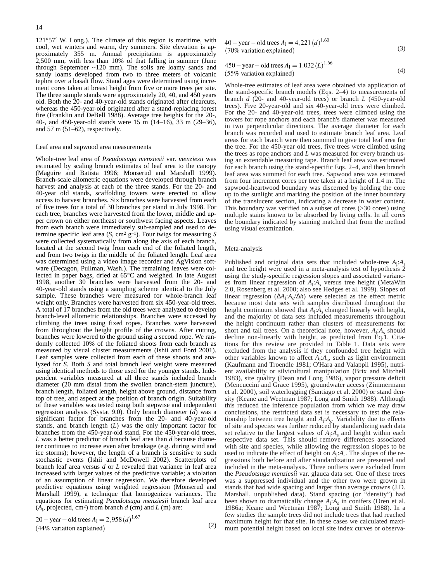121°57′ W. Long.). The climate of this region is maritime, with cool, wet winters and warm, dry summers. Site elevation is approximately 355 m. Annual precipitation is approximately 2,500 mm, with less than 10% of that falling in summer (June through September ~120 mm). The soils are loamy sands and sandy loams developed from two to three meters of volcanic tephra over a basalt flow. Stand ages were determined using increment cores taken at breast height from five or more trees per site. The three sample stands were approximately 20, 40, and 450 years old. Both the 20- and 40-year-old stands originated after clearcuts, whereas the 450-year-old originated after a stand-replacing forest fire (Franklin and DeBell 1988). Average tree heights for the 20-, 40-, and 450-year-old stands were 15 m (14–16), 33 m (29–36), and 57 m (51–62), respectively.

#### Leaf area and sapwood area measurements

Whole-tree leaf area of *Pseudotsuga menziesii* var. *menziesii* was estimated by scaling branch estimates of leaf area to the canopy (Maguire and Batista 1996; Monserud and Marshall 1999). Branch-scale allometric equations were developed through branch harvest and analysis at each of the three stands. For the 20- and 40-year old stands, scaffolding towers were erected to allow access to harvest branches. Six branches were harvested from each of five trees for a total of 30 branches per stand in July 1998. For each tree, branches were harvested from the lower, middle and upper crown on either northeast or southwest facing aspects. Leaves from each branch were immediately sub-sampled and used to determine specific leaf area  $(S, cm^2 g^{-1})$ . Four twigs for measuring *S* were collected systematically from along the axis of each branch, located at the second twig from each end of the foliated length, and from two twigs in the middle of the foliated length. Leaf area was determined using a video image recorder and AgVision software (Decagon, Pullman, Wash.). The remaining leaves were collected in paper bags, dried at 65°C and weighed. In late August 1998, another 30 branches were harvested from the 20- and 40-year-old stands using a sampling scheme identical to the July sample. These branches were measured for whole-branch leaf weight only. Branches were harvested from six 450-year-old trees. A total of 17 branches from the old trees were analyzed to develop branch-level allometric relationships. Branches were accessed by climbing the trees using fixed ropes. Branches were harvested from throughout the height profile of the crowns. After cutting, branches were lowered to the ground using a second rope. We randomly collected 10% of the foliated shoots from each branch as measured by visual cluster measurements (Ishii and Ford 2001). Leaf samples were collected from each of these shoots and analyzed for *S*. Both *S* and total branch leaf weight were measured using identical methods to those used for the younger stands. Independent variables measured at all three stands included branch diameter (20 mm distal from the swollen branch-stem juncture), branch length, foliated length, height above ground, distance from top of tree, and aspect at the position of branch origin. Suitability of these variables was tested using both stepwise and independent regression analysis (Systat 9.0). Only branch diameter (*d*) was a significant factor for branches from the 20- and 40-year-old stands, and branch length (*L*) was the only important factor for branches from the 450-year-old stand. For the 450-year-old trees, *L* was a better predictor of branch leaf area than *d* because diameter continues to increase even after breakage (e.g. during wind and ice storms); however, the length of a branch is sensitive to such stochastic events (Ishii and McDowell 2002). Scatterplots of branch leaf area versus *d* or *L* revealed that variance in leaf area increased with larger values of the predictive variable; a violation of an assumption of linear regression. We therefore developed predictive equations using weighted regression (Monserud and Marshall 1999), a technique that homogenizes variances. The equations for estimating *Pseudotsuga menziesii* branch leaf area  $(A<sub>1</sub>$ , projected, cm<sup>2</sup>) from branch  $d$  (cm) and  $L$  (m) are:

 $20 - year - old trees A_1 = 2,958 (d)^{1.67}$ (44% variation explained)

$$
40 - year - old trees A1 = 4,221 (d)1.60
$$
  
(70% variation explained) (3)

450 – year – old trees 
$$
A_1 = 1.032 (L)^{1.66}
$$
  
(55% variation explained) (4)

Whole-tree estimates of leaf area were obtained via application of the stand-specific branch models (Eqs. 2–4) to measurements of branch *d* (20- and 40-year-old trees) or branch *L* (450-year-old trees). Five 20-year-old and six 40-year-old trees were climbed. For the 20- and 40-year-old trees, trees were climbed using the towers for rope anchors and each branch's diameter was measured in two perpendicular directions. The average diameter for each branch was recorded and used to estimate branch leaf area. Leaf areas for each branch were then summed to give total leaf area for the tree. For the 450-year old trees, five trees were climbed using the trees as rope anchors and *L* was measured for every branch using an extendable measuring tape. Branch leaf area was estimated for each branch using the stand-specific Eqs. 2–4, and then branch leaf area was summed for each tree. Sapwood area was estimated from four increment cores per tree taken at a height of 1.4 m. The sapwood-heartwood boundary was discerned by holding the core up to the sunlight and marking the position of the inner boundary of the translucent section, indicating a decrease in water content. This boundary was verified on a subset of cores (>30 cores) using multiple stains known to be absorbed by living cells. In all cores the boundary indicated by staining matched that from the method using visual examination.

#### Meta-analysis

(2)

Published and original data sets that included whole-tree  $A_1$ : $A_s$ and tree height were used in a meta-analysis test of hypothesis 2 using the study-specific regression slopes and associated variances from linear regression of  $A_1$ :  $A_s$  versus tree height (MetaWin 2.0, Rosenberg et al. 2000; also see Hedges et al. 1999). Slopes of linear regression ( $\Delta A_1$ : $A_s/\Delta h$ ) were selected as the effect metric because most data sets with samples distributed throughout the height continuum showed that  $A_1$ :  $A_s$  changed linearly with height, and the majority of data sets included measurements throughout the height continuum rather than clusters of measurements for short and tall trees. On a theoretical note, however,  $A_1$ :  $A_s$  should decline non-linearly with height, as predicted from Eq.1. Citations for this review are provided in Table 1. Data sets were excluded from the analysis if they confounded tree height with other variables known to affect  $A_1$ :  $A_s$ , such as light environment (Kaufmann and Troendle 1981; O'Hara and Valappil 1995), nutrient availability or silvicultural manipulation (Brix and Mitchell 1983), site quality (Dean and Long 1986), vapor pressure deficit (Mencuccini and Grace 1995), groundwater access (Zimmermann et al. 2000), soil waterlogging (Santiago et al. 2000) or stand density (Keane and Weetman 1987; Long and Smith 1988). Although this reduced the inference population from which we may draw conclusions, the restricted data set is necessary to test the relationship between tree height and  $A_1$ : $A_s$ . Variability due to effects of site and species was further reduced by standardizing each data set relative to the largest values of  $A_1$ : $A_s$  and height within each respective data set. This should remove differences associated with site and species, while allowing the regression slopes to be used to indicate the effect of height on  $A_1$ : $A_s$ . The slopes of the regressions both before and after standardization are presented and included in the meta-analysis. Three outliers were excluded from the *Pseudotsuga menziesii* var. glauca data set. One of these trees was a suppressed individual and the other two were grown in stands that had wide spacing and larger than average crowns (J.D. Marshall, unpublished data). Stand spacing (or "density") had been shown to dramatically change  $A_1$ :  $A_s$  in conifers (Oren et al. 1986a; Keane and Weetman 1987; Long and Smith 1988). In a few studies the sample trees did not include trees that had reached maximum height for that site. In these cases we calculated maximum potential height based on local site index curves or observa-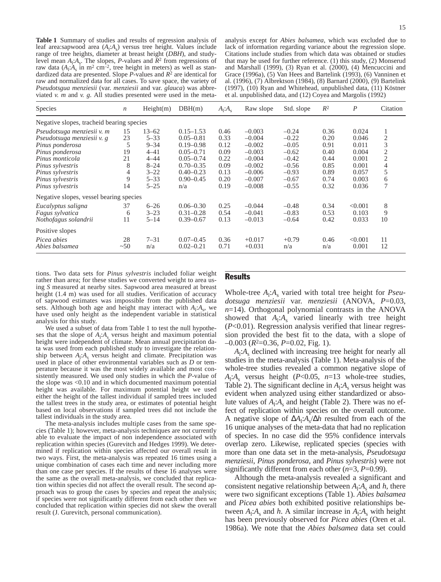**Table 1** Summary of studies and results of regression analysis of leaf area:sapwood area ( $A_1$ ; $A_8$ ) versus tree height. Values include range of tree heights, diameter at breast height (*DBH*), and studylevel mean  $A_1$ : $A_8$ . The slopes, *P*-values and  $R^2$  from regressions of raw data  $(A_1 \cdot A_s \text{ in } m^2 \text{ cm}^{-2})$ , tree height in meters) as well as standardized data are presented. Slope *P*-values and *R*<sup>2</sup> are identical for raw and normalized data for all cases. To save space, the variety of *Pseudotsgua menziesii* (var. *menziesii* and var. *glauca*) was abbreviated *v. m* and *v. g*. All studies presented were used in the meta-

analysis except for *Abies balsamea*, which was excluded due to lack of information regarding variance about the regression slope. Citations include studies from which data was obtained or studies that may be used for further reference. (1) this study, (2) Monserud and Marshall (1999), (3) Ryan et al. (2000), (4) Mencuccini and Grace (1996a), (5) Van Hees and Bartelink (1993), (6) Vanninen et al. (1996), (7) Albrektson (1984), (8) Barnard (2000), (9) Bartelink (1997), (10) Ryan and Whitehead, unpublished data, (11) Köstner et al. unpublished data, and (12) Coyea and Margolis (1992)

| Species                                                                                                                                                                       | $\boldsymbol{n}$                         | Height(m)                                                                                     | DBH(m)                                                                                                                               | $A_1:A_s$                                                    | Raw slope                                                                                    | Std. slope                                                                           | $R^2$                                                        | $\boldsymbol{P}$                                                     | Citation                                          |
|-------------------------------------------------------------------------------------------------------------------------------------------------------------------------------|------------------------------------------|-----------------------------------------------------------------------------------------------|--------------------------------------------------------------------------------------------------------------------------------------|--------------------------------------------------------------|----------------------------------------------------------------------------------------------|--------------------------------------------------------------------------------------|--------------------------------------------------------------|----------------------------------------------------------------------|---------------------------------------------------|
| Negative slopes, tracheid bearing species                                                                                                                                     |                                          |                                                                                               |                                                                                                                                      |                                                              |                                                                                              |                                                                                      |                                                              |                                                                      |                                                   |
| Pseudotsuga menziesii v. m<br>Pseudotsuga menziesii v. g<br>Pinus ponderosa<br>Pinus ponderosa<br>Pinus monticola<br>Pinus sylvestris<br>Pinus sylvestris<br>Pinus sylvestris | 15<br>23<br>5<br>19<br>21<br>8<br>4<br>9 | $13 - 62$<br>$5 - 33$<br>$9 - 34$<br>$4 - 41$<br>$4 - 44$<br>$8 - 24$<br>$3 - 22$<br>$5 - 33$ | $0.15 - 1.53$<br>$0.05 - 0.81$<br>$0.19 - 0.98$<br>$0.05 - 0.71$<br>$0.05 - 0.74$<br>$0.70 - 0.35$<br>$0.40 - 0.23$<br>$0.90 - 0.45$ | 0.46<br>0.33<br>0.12<br>0.09<br>0.22<br>0.09<br>0.13<br>0.20 | $-0.003$<br>$-0.004$<br>$-0.002$<br>$-0.003$<br>$-0.004$<br>$-0.002$<br>$-0.006$<br>$-0.007$ | $-0.24$<br>$-0.22$<br>$-0.05$<br>$-0.62$<br>$-0.42$<br>$-0.56$<br>$-0.93$<br>$-0.67$ | 0.36<br>0.20<br>0.91<br>0.40<br>0.44<br>0.85<br>0.89<br>0.74 | 0.024<br>0.046<br>0.011<br>0.004<br>0.001<br>0.001<br>0.057<br>0.003 | 2<br>3<br>2<br>$\overline{2}$<br>4<br>5<br>6<br>7 |
| Pinus sylvestris<br>Negative slopes, vessel bearing species                                                                                                                   | 14                                       | $5 - 25$                                                                                      | n/a                                                                                                                                  | 0.19                                                         | $-0.008$                                                                                     | $-0.55$                                                                              | 0.32                                                         | 0.036                                                                |                                                   |
| Eucalyptus saligna<br>Fagus sylvatica<br>Nothofagus solandrii                                                                                                                 | 37<br>6<br>11                            | $6 - 26$<br>$3 - 23$<br>$5 - 14$                                                              | $0.06 - 0.30$<br>$0.31 - 0.28$<br>$0.39 - 0.67$                                                                                      | 0.25<br>0.54<br>0.13                                         | $-0.044$<br>$-0.041$<br>$-0.013$                                                             | $-0.48$<br>$-0.83$<br>$-0.64$                                                        | 0.34<br>0.53<br>0.42                                         | < 0.001<br>0.103<br>0.033                                            | 8<br>9<br>10                                      |
| Positive slopes<br>Picea abies<br>Abies balsamea                                                                                                                              | 28<br>~50                                | $7 - 31$<br>n/a                                                                               | $0.07 - 0.45$<br>$0.02 - 0.21$                                                                                                       | 0.36<br>0.71                                                 | $+0.017$<br>$+0.031$                                                                         | $+0.79$<br>n/a                                                                       | 0.46<br>n/a                                                  | < 0.001<br>0.001                                                     | 11<br>12                                          |

tions. Two data sets for *Pinus sylvestris* included foliar weight rather than area; for these studies we converted weight to area using *S* measured at nearby sites. Sapwood area measured at breast height (1.4 m) was used for all studies. Verification of accuracy of sapwood estimates was impossible from the published data sets. Although both age and height may interact with  $A_1: A_s$ , we have used only height as the independent variable in statistical analysis for this study.

We used a subset of data from Table 1 to test the null hypotheses that the slope of  $A_1$ : $A_s$  versus height and maximum potential height were independent of climate. Mean annual precipitation data was used from each published study to investigate the relationship between  $A_1$ : $A_s$  versus height and climate. Precipitation was used in place of other environmental variables such as *D* or temperature because it was the most widely available and most consistently measured. We used only studies in which the *P*-value of the slope was <0.10 and in which documented maximum potential height was available. For maximum potential height we used either the height of the tallest individual if sampled trees included the tallest trees in the study area, or estimates of potential height based on local observations if sampled trees did not include the tallest individuals in the study area.

The meta-analysis includes multiple cases from the same species (Table 1); however, meta-analysis techniques are not currently able to evaluate the impact of non independence associated with replication within species (Gurevitch and Hedges 1999). We determined if replication within species affected our overall result in two ways. First, the meta-analysis was repeated 16 times using a unique combination of cases each time and never including more than one case per species. If the results of these 16 analyses were the same as the overall meta-analysis, we concluded that replication within species did not affect the overall result. The second approach was to group the cases by species and repeat the analysis; if species were not significantly different from each other then we concluded that replication within species did not skew the overall result (J. Gurevitch, personal communication).

## Results

Whole-tree  $A_1$ : $A_s$  varied with total tree height for *Pseudotsuga menziesii* var. *menziesii* (ANOVA, *P*=0.03, *n*=14). Orthogonal polynomial contrasts in the ANOVA showed that  $A_1$ : $A_s$  varied linearly with tree height (*P*<0.01). Regression analysis verified that linear regression provided the best fit to the data, with a slope of –0.003 (*R*2=0.36, *P*=0.02, Fig. 1).

 $A<sub>l</sub>:A<sub>s</sub>$  declined with increasing tree height for nearly all studies in the meta-analysis (Table 1). Meta-analysis of the whole-tree studies revealed a common negative slope of  $A_1$ : $A_s$  versus height (*P*<0.05, *n*=13 whole-tree studies, Table 2). The significant decline in  $A_i: A_s$  versus height was evident when analyzed using either standardized or absolute values of  $A_i: A_s$  and height (Table 2). There was no effect of replication within species on the overall outcome. A negative slope of ∆*A*<sup>l</sup> :*A*s/∆*h* resulted from each of the 16 unique analyses of the meta-data that had no replication of species. In no case did the 95% confidence intervals overlap zero. Likewise, replicated species (species with more than one data set in the meta-analysis, *Pseudotsuga menziesii*, *Pinus ponderosa*, and *Pinus sylvestris*) were not significantly different from each other (*n*=3, *P*=0.99).

Although the meta-analysis revealed a significant and consistent negative relationship between  $A_1$ : $A_s$  and  $h$ , there were two significant exceptions (Table 1). *Abies balsamea* and *Picea abies* both exhibited positive relationships between  $A_1$ : $A_s$  and *h*. A similar increase in  $A_1$ : $A_s$  with height has been previously observed for *Picea abies* (Oren et al. 1986a). We note that the *Abies balsamea* data set could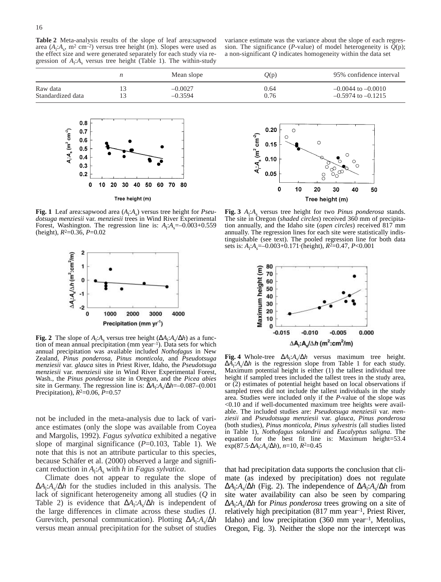**Table 2** Meta-analysis results of the slope of leaf area:sapwood area  $(A_1: A_s, m^2 \text{ cm}^{-2})$  versus tree height (m). Slopes were used as the effect size and were generated separately for each study via regression of  $A_1$ : $A_s$  versus tree height (Table 1). The within-study

variance estimate was the variance about the slope of each regression. The significance (*P*-value) of model heterogeneity is  $Q(p)$ ; a non-significant *Q* indicates homogeneity within the data set

|                   | Mean slope | Q(p) | 95% confidence interval |
|-------------------|------------|------|-------------------------|
| Raw data          | $-0.0027$  | 0.64 | $-0.0044$ to $-0.0010$  |
| Standardized data | $-0.3594$  | 0.76 | $-0.5974$ to $-0.1215$  |



**Fig. 1** Leaf area:sapwood area  $(A_1:A_s)$  versus tree height for *Pseudotsuga menziesii* var. *menziesii* trees in Wind River Experimental Forest, Washington. The regression line is:  $A_1 \cdot A_8 = -0.003 + 0.559$ (height), *R*2=0.36, *P*=0.02



**Fig. 2** The slope of  $A_1: A_s$  versus tree height ( $\Delta A_1: A_s/\Delta h$ ) as a function of mean annual precipitation (mm year–1). Data sets for which annual precipitation was available included *Nothofagus* in New Zealand*, Pinus ponderosa*, *Pinus monticola*, and *Pseudotsuga menziesii* var. *glauca* sites in Priest River, Idaho, the *Pseudotsuga menziesii* var. *menziesii* site in Wind River Experimental Forest, Wash., the *Pinus ponderosa* site in Oregon, and the *Picea abies* site in Germany. The regression line is:  $\Delta A_1$ : $A_8/\Delta h$ =–0.087–(0.001 Precipitation), *R*2=0.06, *P*=0.57

not be included in the meta-analysis due to lack of variance estimates (only the slope was available from Coyea and Margolis, 1992). *Fagus sylvatica* exhibited a negative slope of marginal significance  $(P=0.103,$  Table 1). We note that this is not an attribute particular to this species, because Schäfer et al. (2000) observed a large and significant reduction in *A*<sup>l</sup> :*A*<sup>s</sup> with *h* in *Fagus sylvatica*.

Climate does not appear to regulate the slope of ∆*A*<sup>l</sup> :*A*s/∆*h* for the studies included in this analysis. The lack of significant heterogeneity among all studies (*Q* in Table 2) is evidence that  $\Delta A_1$ : $A_s/\Delta h$  is independent of the large differences in climate across these studies (J. Gurevitch, personal communication). Plotting ∆*A*<sup>l</sup> :*A*s/∆*h* versus mean annual precipitation for the subset of studies



**Fig. 3**  $A_1$ : $A_8$  versus tree height for two *Pinus ponderosa* stands. The site in Oregon (*shaded circles*) received 360 mm of precipitation annually, and the Idaho site (*open circles*) received 817 mm annually. The regression lines for each site were statistically indistinguishable (see text). The pooled regression line for both data sets is: *A*<sup>l</sup> :*A*s=–0.003+0.171·(height), *R*2=0.47, *P*<0.001



**Fig. 4** Whole-tree ∆*A*<sup>l</sup> :*A*s/∆*h* versus maximum tree height. ∆*A*<sup>l</sup> :*A*s/∆*h* is the regression slope from Table 1 for each study. Maximum potential height is either (1) the tallest individual tree height if sampled trees included the tallest trees in the study area, or (2) estimates of potential height based on local observations if sampled trees did not include the tallest individuals in the study area. Studies were included only if the *P*-value of the slope was <0.10 and if well-documented maximum tree heights were available. The included studies are: *Pseudotsuga menziesii* var. *menziesii* and *Pseudotsuga menziesii* var. *glauca*, *Pinus ponderosa* (both studies), *Pinus monticola*, *Pinus sylvestris* (all studies listed in Table 1), *Nothofagus solandrii* and *Eucalyptus saligna*. The equation for the best fit line is: Maximum height=53.4 exp(87.5·∆*A*<sup>l</sup> :*A*s/∆*h*), *n*=10, *R*2=0.45

that had precipitation data supports the conclusion that climate (as indexed by precipitation) does not regulate  $\Delta A_1$ :*A<sub>s</sub>*/ $\Delta h$  (Fig. 2). The independence of  $\Delta A_1$ :*A<sub>s</sub>*/ $\Delta h$  from site water availability can also be seen by comparing ∆*A*<sup>l</sup> :*A*s/∆*h* for *Pinus ponderosa* trees growing on a site of relatively high precipitation (817 mm year–1, Priest River, Idaho) and low precipitation  $(360 \text{ mm} \text{ year}^{-1})$ , Metolius, Oregon, Fig. 3). Neither the slope nor the intercept was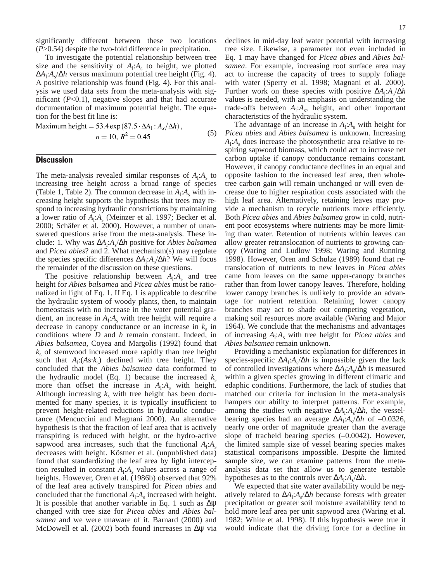significantly different between these two locations (*P*>0.54) despite the two-fold difference in precipitation.

To investigate the potential relationship between tree size and the sensitivity of  $A_i: A_s$  to height, we plotted ∆*A*<sup>l</sup> :*A*s/∆*h* versus maximum potential tree height (Fig. 4). A positive relationship was found (Fig. 4). For this analysis we used data sets from the meta-analysis with significant  $(P<0.1)$ , negative slopes and that had accurate documentation of maximum potential height. The equation for the best fit line is:

Maximum height = 53.4 exp(87.5  $\cdot \Delta A_1$ :  $A_s/\Delta h$ ), (5)  $n = 10$ ,  $R^2 = 0.45$ 

## **Discussion**

The meta-analysis revealed similar responses of  $A_1$ : $A_s$  to increasing tree height across a broad range of species (Table 1, Table 2). The common decrease in  $A_i: A_s$  with increasing height supports the hypothesis that trees may respond to increasing hydraulic constrictions by maintaining a lower ratio of  $A_1$ : $A_s$  (Meinzer et al. 1997; Becker et al. 2000; Schäfer et al. 2000). However, a number of unanswered questions arise from the meta-analysis. These include: 1. Why was ∆*A*<sup>l</sup> :*A*s/∆*h* positive for *Abies balsamea* and *Picea abies*? and 2. What mechanism(s) may regulate the species specific differences  $ΔA_1: A_s/Δh$ ? We will focus the remainder of the discussion on these questions.

The positive relationship between  $A_1$ : $A_s$  and tree height for *Abies balsamea* and *Picea abies* must be rationalized in light of Eq. 1. If Eq. 1 is applicable to describe the hydraulic system of woody plants, then, to maintain homeostasis with no increase in the water potential gradient, an increase in  $A_1$ : $A_s$  with tree height will require a decrease in canopy conductance or an increase in  $k<sub>s</sub>$  in conditions where *D* and *h* remain constant. Indeed, in *Abies balsamea*, Coyea and Margolis (1992) found that  $k<sub>s</sub>$  of stemwood increased more rapidly than tree height such that  $A_1$ : $(As \cdot k_s)$  declined with tree height. They concluded that the *Abies balsamea* data conformed to the hydraulic model (Eq. 1) because the increased  $k<sub>s</sub>$ more than offset the increase in  $A_i: A_s$  with height. Although increasing  $k<sub>s</sub>$  with tree height has been documented for many species, it is typically insufficient to prevent height-related reductions in hydraulic conductance (Mencuccini and Magnani 2000). An alternative hypothesis is that the fraction of leaf area that is actively transpiring is reduced with height, or the hydro-active sapwood area increases, such that the functional  $A_1$ : $A_s$ decreases with height. Köstner et al. (unpublished data) found that standardizing the leaf area by light interception resulted in constant  $A_1$ : $A_s$  values across a range of heights. However, Oren et al. (1986b) observed that 92% of the leaf area actively transpired for *Picea abies* and concluded that the functional  $A_i: A_s$  increased with height. It is possible that another variable in Eq. 1 such as  $\Delta \psi$ changed with tree size for *Picea abies* and *Abies balsamea* and we were unaware of it. Barnard (2000) and McDowell et al. (2002) both found increases in  $\Delta \psi$  via

declines in mid-day leaf water potential with increasing tree size. Likewise, a parameter not even included in Eq. 1 may have changed for *Picea abies* and *Abies balsamea*. For example, increasing root surface area may act to increase the capacity of trees to supply foliage with water (Sperry et al. 1998; Magnani et al. 2000). Further work on these species with positive ∆*A*<sup>l</sup> :*A*s/∆*h* values is needed, with an emphasis on understanding the trade-offs between  $A_1$ : $A_s$ , height, and other important characteristics of the hydraulic system.

The advantage of an increase in  $A_1$ : $A_s$  with height for *Picea abies* and *Abies balsamea* is unknown. Increasing  $A_1$ : $A_s$  does increase the photosynthetic area relative to respiring sapwood biomass, which could act to increase net carbon uptake if canopy conductance remains constant. However, if canopy conductance declines in an equal and opposite fashion to the increased leaf area, then wholetree carbon gain will remain unchanged or will even decrease due to higher respiration costs associated with the high leaf area. Alternatively, retaining leaves may provide a mechanism to recycle nutrients more efficiently. Both *Picea abies* and *Abies balsamea* grow in cold, nutrient poor ecosystems where nutrients may be more limiting than water. Retention of nutrients within leaves can allow greater retranslocation of nutrients to growing canopy (Waring and Ludlow 1998; Waring and Running 1998). However, Oren and Schulze (1989) found that retranslocation of nutrients to new leaves in *Picea abies* came from leaves on the same upper-canopy branches rather than from lower canopy leaves. Therefore, holding lower canopy branches is unlikely to provide an advantage for nutrient retention. Retaining lower canopy branches may act to shade out competing vegetation, making soil resources more available (Waring and Major 1964). We conclude that the mechanisms and advantages of increasing *A*<sup>l</sup> :*A*<sup>s</sup> with tree height for *Picea abies* and *Abies balsamea* remain unknown.

Providing a mechanistic explanation for differences in species-specific Δ*A*<sub>1</sub>:*A<sub>s</sub>*/∆*h* is impossible given the lack of controlled investigations where ∆*A*<sup>l</sup> :*A*s/∆*h* is measured within a given species growing in different climatic and edaphic conditions. Furthermore, the lack of studies that matched our criteria for inclusion in the meta-analysis hampers our ability to interpret patterns. For example, among the studies with negative  $ΔA₁: A₃/Δh$ , the vesselbearing species had an average  $\Delta A_1$ :*A<sub>s</sub>*/∆*h* of –0.0326, nearly one order of magnitude greater than the average slope of tracheid bearing species (-0.0042). However, the limited sample size of vessel bearing species makes statistical comparisons impossible. Despite the limited sample size, we can examine patterns from the metaanalysis data set that allow us to generate testable hypotheses as to the controls over ∆*A*<sup>l</sup> :*A*s/∆*h*.

We expected that site water availability would be negatively related to ∆*A*<sup>l</sup> :*A*s/∆*h* because forests with greater precipitation or greater soil moisture availability tend to hold more leaf area per unit sapwood area (Waring et al. 1982; White et al. 1998). If this hypothesis were true it would indicate that the driving force for a decline in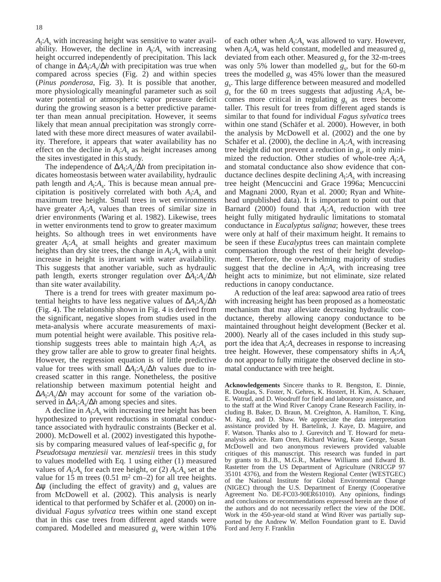$A_1$ : $A_s$  with increasing height was sensitive to water availability. However, the decline in  $A_1$ : $A_s$  with increasing height occurred independently of precipitation. This lack of change in ∆*A*<sup>l</sup> :*A*s/∆*h* with precipitation was true when compared across species (Fig. 2) and within species (*Pinus ponderosa*, Fig. 3). It is possible that another, more physiologically meaningful parameter such as soil water potential or atmospheric vapor pressure deficit during the growing season is a better predictive parameter than mean annual precipitation. However, it seems likely that mean annual precipitation was strongly correlated with these more direct measures of water availability. Therefore, it appears that water availability has no effect on the decline in  $A_1$ : $A_s$  as height increases among the sites investigated in this study.

The independence of Δ*A*<sub>1</sub>:*A*<sub>s</sub>/∆*h* from precipitation indicates homeostasis between water availability, hydraulic path length and  $A_1$ : $A_s$ . This is because mean annual precipitation is positively correlated with both  $A_1$ : $A_s$  and maximum tree height. Small trees in wet environments have greater  $A_1$ : $A_s$  values than trees of similar size in drier environments (Waring et al. 1982). Likewise, trees in wetter environments tend to grow to greater maximum heights. So although trees in wet environments have greater  $A_1$ : $A_s$  at small heights and greater maximum heights than dry site trees, the change in  $A_1$ : $A_s$  with a unit increase in height is invariant with water availability. This suggests that another variable, such as hydraulic path length, exerts stronger regulation over ∆*A*<sup>l</sup> :*A*s/∆*h* than site water availability.

There is a trend for trees with greater maximum potential heights to have less negative values of ∆*A*<sup>l</sup> :*A*s/∆*h* (Fig. 4). The relationship shown in Fig. 4 is derived from the significant, negative slopes from studies used in the meta-analysis where accurate measurements of maximum potential height were available. This positive relationship suggests trees able to maintain high  $A_1$ : $A_s$  as they grow taller are able to grow to greater final heights. However, the regression equation is of little predictive value for trees with small  $\Delta A_1$ : *A<sub>s</sub>*/∆*h* values due to increased scatter in this range. Nonetheless, the positive relationship between maximum potential height and ∆*A*<sup>l</sup> :*A*s/∆*h* may account for some of the variation observed in Δ*A*<sub>1</sub>:*A<sub>s</sub>*/∆*h* among species and sites.

A decline in  $A_1$ : $A_s$  with increasing tree height has been hypothesized to prevent reductions in stomatal conductance associated with hydraulic constraints (Becker et al. 2000). McDowell et al. (2002) investigated this hypothesis by comparing measured values of leaf-specific  $g_s$  for *Pseudotsuga menziesii* var. *menziesii* trees in this study to values modelled with Eq. 1 using either (1) measured values of  $A_1$ : $A_s$  for each tree height, or (2)  $A_1$ : $A_s$  set at the value for 15 m trees  $(0.51 \text{ m}^2 \text{ cm} - 2)$  for all tree heights.  $Δψ$  (including the effect of gravity) and  $g<sub>s</sub>$  values are from McDowell et al. (2002). This analysis is nearly identical to that performed by Schäfer et al. (2000) on individual *Fagus sylvatica* trees within one stand except that in this case trees from different aged stands were compared. Modelled and measured  $g_s$  were within 10%

of each other when  $A_1$ : $A_s$  was allowed to vary. However, when  $A_i$ : $A_s$  was held constant, modelled and measured  $g_s$ deviated from each other. Measured  $g<sub>s</sub>$  for the 32-m-trees was only 5% lower than modelled  $g_s$ , but for the 60-m trees the modelled  $g_s$  was 45% lower than the measured *g*s. This large difference between measured and modelled  $g_s$  for the 60 m trees suggests that adjusting  $A_l$ : $A_s$  becomes more critical in regulating  $g_s$  as trees become taller. This result for trees from different aged stands is similar to that found for individual *Fagus sylvatica* trees within one stand (Schäfer et al. 2000). However, in both the analysis by McDowell et al. (2002) and the one by Schäfer et al. (2000), the decline in  $A_i: A_s$  with increasing tree height did not prevent a reduction in  $g<sub>s</sub>$ , it only minimized the reduction. Other studies of whole-tree  $A_1$ : $A_s$ and stomatal conductance also show evidence that conductance declines despite declining *A*<sup>l</sup> :*A*<sup>s</sup> with increasing tree height (Mencuccini and Grace 1996a; Mencuccini and Magnani 2000, Ryan et al. 2000; Ryan and Whitehead unpublished data). It is important to point out that Barnard (2000) found that  $A_1$ : $A_s$  reduction with tree height fully mitigated hydraulic limitations to stomatal conductance in *Eucalyptus saligna*; however, these trees were only at half of their maximum height. It remains to be seen if these *Eucalyptus* trees can maintain complete compensation through the rest of their height development. Therefore, the overwhelming majority of studies suggest that the decline in  $A_1$ : $A_s$  with increasing tree height acts to minimize, but not eliminate, size related reductions in canopy conductance.

A reduction of the leaf area: sapwood area ratio of trees with increasing height has been proposed as a homeostatic mechanism that may alleviate decreasing hydraulic conductance, thereby allowing canopy conductance to be maintained throughout height development (Becker et al. 2000). Nearly all of the cases included in this study support the idea that  $A_1$ : $A_s$  decreases in response to increasing tree height. However, these compensatory shifts in  $A_i: A_s$ do not appear to fully mitigate the observed decline in stomatal conductance with tree height.

**Acknowledgements** Sincere thanks to R. Bengston, E. Dinnie, R. Douglas, S. Foster, N. Gehres, K. Hostert, H. Kim, A. Schauer, E. Watrud, and D. Woodruff for field and laboratory assistance, and to the staff at the Wind River Canopy Crane Research Facility, including B. Baker, D. Braun, M. Creighton, A. Hamilton, T. King, M. King, and D. Shaw. We appreciate the data interpretation assistance provided by H. Bartelink, J. Kaye, D. Maguire, and F. Watson. Thanks also to J. Gurevitch and T. Howard for metaanalysis advice. Ram Oren, Richard Waring, Kate George, Susan McDowell and two anonymous reviewers provided valuable critiques of this manuscript. This research was funded in part by grants to B.J.B., M.G.R., Mathew Williams and Edward B. Rastetter from the US Department of Agriculture (NRICGP 97 35101 4376), and from the Western Regional Center (WESTGEC) of the National Institute for Global Environmental Change (NIGEC) through the U.S. Department of Energy (Cooperative Agreement No. DE-FC03-90ER61010). Any opinions, findings and conclusions or recommendations expressed herein are those of the authors and do not necessarily reflect the view of the DOE. Work in the 450-year-old stand at Wind River was partially supported by the Andrew W. Mellon Foundation grant to E. David Ford and Jerry F. Franklin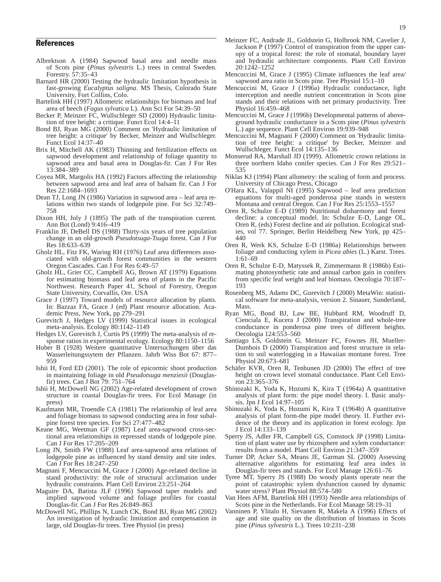### References

- Albrektson A (1984) Sapwood basal area and needle mass of Scots pine (*Pinus sylvestris* L.) trees in central Sweden. Forestry. 57:35–43
- Barnard HR (2000) Testing the hydraulic limitation hypothesis in fast-growing *Eucalyptus saligna*. MS Thesis, Colorado State University, Fort Collins, Colo.
- Bartelink HH (1997) Allometric relationships for biomass and leaf area of beech (*Fagus sylvatica* L). Ann Sci For 54:39–50
- Becker P, Meinzer FC, Wullschleger SD (2000) Hydraulic limitation of tree height: a critique. Funct Ecol 14:4–11
- Bond BJ, Ryan MG (2000) Comment on 'Hydraulic limitation of tree height: a critique' by Becker, Meinzer and Wullschleger. Funct Ecol 14:37–40
- Brix H, Mitchell AK (1983) Thinning and fertilization effects on sapwood development and relationship of foliage quantity to sapwood area and basal area in Douglas-fir. Can J For Res 13:384–389
- Coyea MR, Margolis HA (1992) Factors affecting the relationship between sapwood area and leaf area of balsam fir. Can J For Res 22:1684–1693
- Dean TJ, Long JN (1986) Variation in sapwood area leaf area relations within two stands of lodgepole pine. For Sci 32:749– 758
- Dixon HH, Joly J (1895) The path of the transpiration current. Ann Bot (Lond) 9:416–419
- Franklin JF, DeBell DS (1988) Thirty-six years of tree population change in an old-growth *Pseudotsuga-Tsuga* forest. Can J For Res 18:633–639
- Gholz HL, Fitz FK, Waring RH (1976) Leaf area differences associated with old-growth forest communities in the western Oregon Cascades. Can J For Res 6:49–57
- Gholz HL, Grier CC, Campbell AG, Brown AT (1979) Equations for estimating biomass and leaf area of plants in the Pacific Northwest. Research Paper 41, School of Forestry, Oregon State University, Corvallis, Ore. USA
- Grace J (1997) Toward models of resource allocation by plants. In: Bazzaz FA, Grace J (ed) Plant resource allocation. Academic Press, New York, pp 279–291
- Gurevitch J, Hedges LV (1999) Statistical issues in ecological meta-analysis. Ecology 80:1142–1149
- Hedges LV, Gurevitch J, Curtis PS (1999) The meta-analysis of response ratios in experimental ecology. Ecology 80:1150–1156
- Huber B (1928) Weitere quantitative Untersuchungen über das Wasserleitungssytem der Pflanzen. Jahrb Wiss Bot 67: 877– 959
- Ishii H, Ford ED (2001). The role of epicormic shoot production in maintaining foliage in old *Pseudotsuga menziesii* (Douglasfir) trees. Can J Bot 79: 751–764
- Ishii H, McDowell NG (2002) Age-related development of crown structure in coastal Douglas-fir trees. For Ecol Manage (in press)
- Kaufmann MR, Troendle CA (1981) The relationship of leaf area and foliage biomass to sapwood conducting area in four subalpine forest tree species. For Sci 27:477–482
- Keane MG, Weetman GF (1987) Leaf area-sapwood cross-sectional area relationships in repressed stands of lodgepole pine. Can J For Res 17:205–209
- Long JN, Smith FW (1988) Leaf area-sapwood area relations of lodgepole pine as influenced by stand density and site index. Can J For Res 18:247–250
- Magnani F, Mencuccini M, Grace J (2000) Age-related decline in stand productivity: the role of structural acclimation under hydraulic constraints. Plant Cell Environ 23:251–264
- Maguire DA, Batista JLF (1996) Sapwood taper models and implied sapwood volume and foliage profiles for coastal Douglas-fir. Can J For Res 26:849–863
- McDowell NG, Phillips N, Lunch CK, Bond BJ, Ryan MG (2002) An investigation of hydraulic limitation and compensation in large, old Douglas-fir trees. Tree Physiol (in press)
- Meinzer FC, Andrade JL, Goldstein G, Holbrook NM, Cavelier J, Jackson P (1997) Control of transpiration from the upper canopy of a tropical forest: the role of stomatal, boundary layer and hydraulic architecture components. Plant Cell Environ 20:1242–1252
- Mencuccini M, Grace J (1995) Climate influences the leaf area/ sapwood area ratio in Scots pine. Tree Physiol 15:1–10
- Mencuccini M, Grace J (1996a) Hydraulic conductance, light interception and needle nutrient concentration in Scots pine stands and their relations with net primary productivity. Tree Physiol 16:459–468
- Mencuccini M, Grace J (1996b) Developmental patterns of aboveground hydraulic conductance in a Scots pine (*Pinus sylvestris* L.) age sequence. Plant Cell Environ 19:939–948
- Mencuccini M, Magnani F (2000) Comment on 'Hydraulic limitation of tree height: a critique' by Becker, Meinzer and Wullschleger. Funct Ecol 14:135–136
- Monserud RA, Marshall JD (1999). Allometric crown relations in three northern Idaho conifer species. Can J For Res 29:521– 535
- Niklas KJ (1994) Plant allometry: the scaling of form and process. University of Chicago Press, Chicago
- O'Hara KL, Valappil NI (1995) Sapwood leaf area prediction equations for multi-aged ponderosa pine stands in western Montana and central Oregon. Can J For Res 25:1553–1557
- Oren R, Schulze E-D (1989) Nutritional disharmony and forest decline: a conceptual model. In: Schulze E-D, Lange OL, Oren R, (eds) Forest decline and air pollution. Ecological studies, vol 77. Springer, Berlin Heidelberg New York, pp 425– 440
- Oren R, Werk KS, Schulze E-D (1986a) Relationships between foliage and conducting xylem in *Picea abies* (L.) Karst. Trees. 1:61–69
- Oren R, Schulze E-D, Matyssek R, Zimmermann R (1986b) Estimating photosynthetic rate and annual carbon gain in conifers from specific leaf weight and leaf biomass. Oecologia 70:187– 193
- Rosenberg MS, Adams DC, Gurevitch J (2000) MetaWin: statistical software for meta-analysis, version 2. Sinauer, Sunderland, Mass.
- Ryan MG, Bond BJ, Law BE, Hubbard RM, Woodruff D, Cienciala E, Kucera J (2000) Transpiration and whole-tree conductance in ponderosa pine trees of different heights. Oecologia 124:553–560
- Santiago LS, Goldstein G, Meinzer FC, Fownes JH, Mueller-Dumbois D (2000) Transpiration and forest structure in relation to soil waterlogging in a Hawaiian montane forest. Tree Physiol 20:673–681
- Schäfer KVR, Oren R, Tenhunen JD (2000) The effect of tree height on crown level stomatal conductance. Plant Cell Environ 23:365–376
- Shinozaki K, Yoda K, Hozumi K, Kira T (1964a) A quantitative analysis of plant form: the pipe model theory. I. Basic analysis. Jpn J Ecol 14:97–105
- Shinozaki K, Yoda K, Hozumi K, Kira T (1964b) A quantitative analysis of plant form-the pipe model theory. II. Further evidence of the theory and its application in forest ecology. Jpn J Ecol 14:133–139
- Sperry JS, Adler FR, Campbell GS, Comstock JP (1998) Limitation of plant water use by rhizosphere and xylem conductance: results from a model. Plant Cell Environ 21:347–359
- Turner DP, Acker SA, Means JE, Garman SL (2000) Assessing alternative algorithms for estimating leaf area index in Douglas-fir trees and stands. For Ecol Manage 126:61–76
- Tyree MT, Sperry JS (1988) Do woody plants operate near the point of catastrophic xylem dysfunction caused by dynamic water stress? Plant Physiol 88:574–580
- Van Hees AFM, Bartelink HH (1993) Needle area relationships of Scots pine in the Netherlands. For Ecol Manage 58:19–31
- Vanninen P, Ylitalo H, Sievanen R, Makela A (1996) Effects of age and site quality on the distribution of biomass in Scots pine (*Pinus sylvestris* L.). Trees 10:231–238